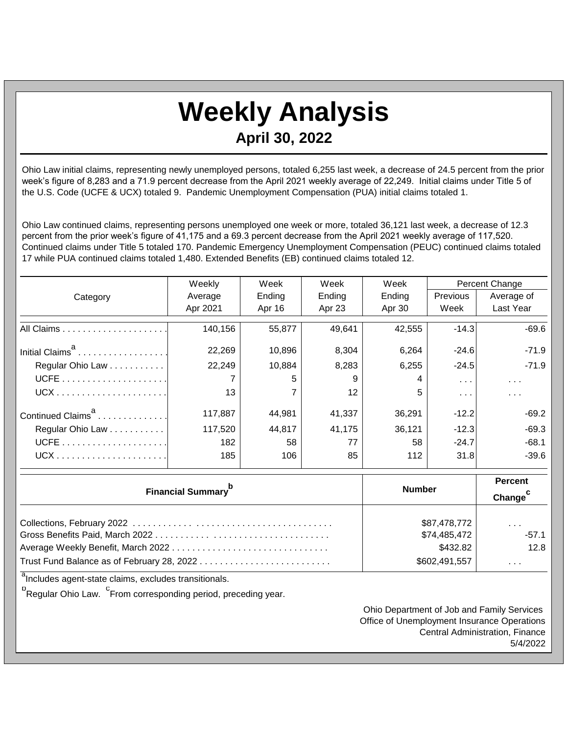## **Weekly Analysis April 30, 2022**

Ohio Law initial claims, representing newly unemployed persons, totaled 6,255 last week, a decrease of 24.5 percent from the prior week's figure of 8,283 and a 71.9 percent decrease from the April 2021 weekly average of 22,249. Initial claims under Title 5 of the U.S. Code (UCFE & UCX) totaled 9. Pandemic Unemployment Compensation (PUA) initial claims totaled 1.

Ohio Law continued claims, representing persons unemployed one week or more, totaled 36,121 last week, a decrease of 12.3 percent from the prior week's figure of 41,175 and a 69.3 percent decrease from the April 2021 weekly average of 117,520. Continued claims under Title 5 totaled 170. Pandemic Emergency Unemployment Compensation (PEUC) continued claims totaled 17 while PUA continued claims totaled 1,480. Extended Benefits (EB) continued claims totaled 12.

|                                       | Weekly        | Week         | Week                 | Week   | Percent Change       |            |
|---------------------------------------|---------------|--------------|----------------------|--------|----------------------|------------|
| Category                              | Average       | Ending       | Ending               | Ending | Previous             | Average of |
|                                       | Apr 2021      | Apr 16       | Apr 23               | Apr 30 | Week                 | Last Year  |
|                                       | 140,156       | 55,877       | 49,641               | 42,555 | $-14.3$              | $-69.6$    |
| Initial Claims <sup>a</sup>           | 22,269        | 10,896       | 8,304                | 6,264  | $-24.6$              | $-71.9$    |
| Regular Ohio Law                      | 22,249        | 10,884       | 8,283                | 6,255  | $-24.5$              | $-71.9$    |
|                                       | 7             | 5            | 9                    | 4      | $\sim$ $\sim$ $\sim$ | $\sim 100$ |
|                                       | 13            |              | 12                   | 5      | $\sim 100$           | $\sim 100$ |
| Continued Claims <sup>a</sup>         | 117,887       | 44,981       | 41,337               | 36,291 | $-12.2$              | $-69.2$    |
| Regular Ohio Law                      | 117,520       | 44,817       | 41,175               | 36,121 | $-12.3$              | $-69.3$    |
|                                       | 182           | 58           | 77                   | 58     | $-24.7$              | $-68.1$    |
|                                       | 185           | 106          | 85                   | 112    | 31.8                 | $-39.6$    |
|                                       |               |              | <b>Percent</b>       |        |                      |            |
| <b>Financial Summary</b> <sup>b</sup> | <b>Number</b> |              | Change <sup>c</sup>  |        |                      |            |
|                                       |               | \$87,478,772 | $\sim$ $\sim$ $\sim$ |        |                      |            |

| \$74,485,472  | $-57.1$ |
|---------------|---------|
| \$432.82      | 12.8    |
| \$602,491,557 | .       |
|               |         |

<sup>a</sup>Includes agent-state claims, excludes transitionals.

<sup>b</sup>Regular Ohio Law. <sup>C</sup>From corresponding period, preceding year.

Ohio Department of Job and Family Services Office of Unemployment Insurance Operations Central Administration, Finance 5/4/2022